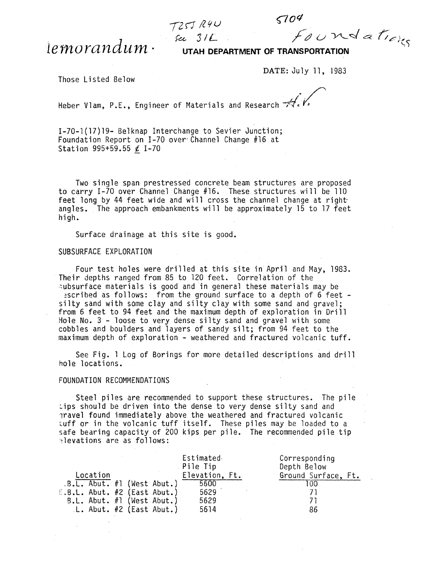$T25JR4U$ 

lemorandum ·

**UTAH DEPARTMENT OF TRANSPORTATION** 

DATE: July 11, 1983

 $\frac{1}{2}$  sil Foundations

 $5704$ 

Those Listed Below

Heber Vlam, P.E., Engineer of Materials and Research  $\overrightarrow{A}$ .

1-70-1(17)19- Belknap Interchange to Sevier Junction; Foundation Report on I-70 over'Channel Change #16 at Station 995+59.55  $\ell$  I-70

Two single span prestressed concrete beam structures are proposed to carry I-70 over Channel Change #16. These structures will be 110<br>feet long by 44 feet wide and will cross the channel change at right angles. The approach embankments will be approximately 15 to 17 feet high.

Surface drainage at this site is good.

## SUBSURFACE EXPLORATION

Four test holes were drilled at this site in April and May, 1983. Their depths ranged from 85 to 120 feet. Correlation of the ~ubsurface materials is good and in general these materials may be

silty sand with some clay and silty clay with some sand and gravel;<br>from 6 feet to 94 feet and the maximum depth of exploration in Drill Hole No. 3 - loose to very dense silty sand and gravel with some cobbles and boulders and layers of sandy silt; from 94 feet to the maximum depth of exploration - weathered and fractured volcanic tuff.

See Fig. 1 Log of Borings for more detailed descriptions and drill hole locations.

## FOUNDATION RECOMMENDATIONS

Steel piles are recommended to support these structures. The pile tips should be driven into the dense to very dense silty sand and lravel found immediately above the weathered and fractured volcanic tuff or in the volcanic tuff itself. These piles may be loaded to a safe bearing capacity of 200 kips per pile. The recommended pile tip ~levations are as follows:

|                                |  |  |  |                                 | Estimated      | Corresponding       |  |
|--------------------------------|--|--|--|---------------------------------|----------------|---------------------|--|
|                                |  |  |  |                                 | Pile Tip       | Depth Below         |  |
| Location                       |  |  |  |                                 | Elevation, Ft. | Ground Surface, Ft. |  |
|                                |  |  |  | $.B.L.$ Abut. #1 (West Abut.)   | 5600           | -00                 |  |
| $E.B.t.$ Abut. #2 (East Abut.) |  |  |  |                                 | 5629           |                     |  |
|                                |  |  |  | $B.L.$ Abut. $\#1$ (West Abut.) | 5629           |                     |  |
|                                |  |  |  | $L.$ Abut. $#2$ (East Abut.)    | 5614           | 86                  |  |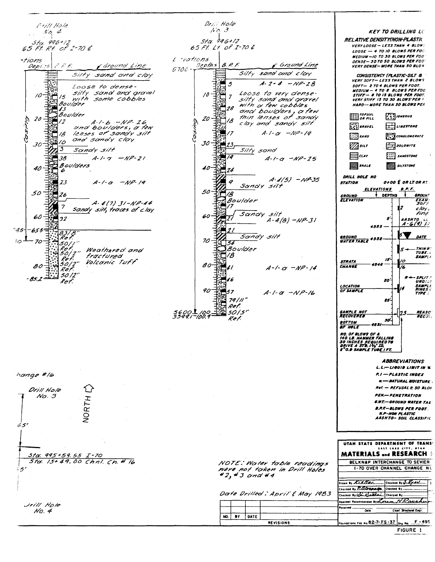Drill Hole Orill Hole  $No. 3$  $N_O$  4 **KEY TO DRILLING LC RELATIVE DENSITY(NON-PLASTIC**  $512.996+12$ Sta, 996+12<br>65 Ft. Rt. of I-70 £ 65 Ft. Lt of I-70 L VERY LOOSE - LESS THAN 4 BLOW:  $1005F - 4$  TO 10 BLOWS PER FOC. MEDIUM - 10 TO 30 BLOWS PER FOOT L *vations itions* DENSE - 30 TO 50 BLOWS PER FOO Depths Ground Line  $\mathcal{E} \mathcal{L} \mathcal{L}$  $B.P.F.$ Caround Line **VERY DENSE-MORE THAN 50 BLOS**  $Depi$ :5  $5700 -$ Silty sand and clay 王朝 Silty sand and clay CONSISTENCY (PLASTIC-SILT 8 VERY SOFT-LESS THAN 2 BLOWS †ੱਹ  $A - 2 - 4 - NP - 28$  $\mathfrak{s}$  $SOFT - 2TO 4 BLOWS PER FOOT$ Loose to dense-**MEDIUM - 4 TO 8 BLOWS PER FOO** silty sand and gravel  $\frac{1}{2}$ <br> $\frac{1}{2}$ <br> $\frac{1}{2}$ <br> $\frac{1}{2}$ <br> $\frac{1}{2}$ <br> $\frac{1}{2}$ <br> $\frac{1}{2}$ <br> $\frac{1}{2}$ <br> $\frac{1}{2}$ <br> $\frac{1}{2}$ <br> $\frac{1}{2}$ <br> $\frac{1}{2}$ <br> $\frac{1}{2}$ <br> $\frac{1}{2}$ <br> $\frac{1}{2}$ <br> $\frac{1}{2}$ <br> $\frac{1}{2}$ Loose to very dense-STIFF - 8 TO 15 BLOWS PER FOOT.  $\overline{10}$ 10  $\overline{7}$ silty *sand ond grovel* VERY STIFF IS TO 30 BLOWS PER ! **HARD-HORE THAN 30 BLOWS PER** with  $\alpha$  few cobbles 128 ond boulders, a few  $\lim_{\theta R \text{ min}}$  $\begin{bmatrix} 1 & 1 \\ 1 & 1 \end{bmatrix}$  IGNEOUS 20  $20$ 4-1-6 -NP-26<br>Und boulders, a few 18 clay and sandy silt  $\left[\begin{smallmatrix}\n\cdot & \cdot \\
\cdot & \cdot \\
\cdot & \cdot\n\end{smallmatrix}\right]$  shave  $\iota$  $\Box$ LINESTONE lenses of sandy silt  $\overline{1}$  $A - 1 - \alpha$   $-MP - 19$  $\overline{B}$  $\Box$  sano **AND CONGLOMERATE** ó, and sandy clay 10  $30<sup>1</sup>$  $30<sup>1</sup>$ Z3,  $\mathbb{Z}$ silr  $\frac{1}{2}$ polowire  $\overline{\mathbf{3}}$ Silty sand Sandy silt  $\frac{1}{14}$ **ENGIN**  $\Xi$ ciar  $[::]$  sanosrone  $38$  $A - 1 - 7 = NP - 21$  $A-1-a$  -NP-25 **Boulders S**SHALE **With** SILTSTONE 40 £ 40  $74$ 7 DRILL HOLE NO  $A - 4(5) - NP - 35$ 23  $A - 1 - 0 = -NP - 19$ 0 **OTOO E OR LT. OR RT. STATION**  $\frac{1}{25}$ Sandy silt  $\frac{\mathcal{D}}{\mathcal{D}}$ 18 **ELEVATIONS**  $B.P.F.$ 50 50  $26$ OEPTHS **GROUN! GROUND**<br>ELEVATION a<br>Boulder<br>El<sup>17</sup> EXAN  $A - 4(7)$   $31 - NP - 44$  $\overline{7}$ clay,<br>fine Sandy silt, traces of clay Sandy silt 60 60 32 7.  $A-4(B)-NP-31$ s aashto is<br>A-6(9) 37 4555  $745 -$ −655ਵੀਂ  $\frac{83}{8}$ Sandy silt DATE  $\frac{1}{2}$   $\frac{1}{2}$   $\frac{1}{2}$   $\frac{1}{2}$   $\frac{1}{2}$   $\frac{1}{2}$   $\frac{1}{2}$   $\frac{1}{2}$   $\frac{1}{2}$   $\frac{1}{2}$   $\frac{1}{2}$   $\frac{1}{2}$   $\frac{1}{2}$   $\frac{1}{2}$   $\frac{1}{2}$   $\frac{1}{2}$   $\frac{1}{2}$   $\frac{1}{2}$   $\frac{1}{2}$   $\frac{1}{2}$   $\frac{1}{2}$   $\frac{1}{2}$  <u>GROUND</u><br>WATER TABLE <sup>4552-</sup> 70 30 - 70  $34$ <br>Boulder  $\overline{157}$ Weathered and **THIN X**  $T^{1/2}$ 18 SAMPL fractured 15 Volconic Tuff **STRATA** ्वं 80 80 CHANGE  $\mathbb{Z}^{\prime}$  $A - 1 - C - NP - 14$  $50/2$ **SPLIT**<br>UNDIS  $85.2$ E 16 Ret 20' SAMPLE<br>SAMPLE<br>TYPE **LOCATION<br>OF SAMPLE** 90 计字首 57  $A - 1 - \alpha - N P - 16$  $79/11''$  $25'$ Ref.  $50/5'$ 5600 L 100<br>5599 l -100,9 SAMPLE NOT<br>RECOVERED 21 **REASO**<br>RECOV Ref  $so<sup>1</sup>$ **BOTTOM**<br>**OF HOLE** 4831 **WE WALL DESCRIPTION OF A**<br>140 LB. HAMMER FALLING<br>30 INCHES REQUIREDTO<br>DRIVE A STD. IV<sub>E</sub> ID.<br>2"0.D SAMPLE TUB<u>E IFT.</u> **ABBREVIATIONS**  $L, L \rightarrow L$  (GUIS LIMIT IN %) hange #16 P.I - PLASTIC INDEX **M. - NATURAL MOISTURE** Ret. - REFUSAL 2 50 BLOK ⇧ Drill Hole PEN-PENETRATION No. 3 NORTH **C.W.T.-GROUND WATER TAE B.P.F-BLOWS PER FOOT. N.P-NON PLASTIC<br>AASHTO- SOIL CLASSIFIC**  $65'$ UTAH STATE DEPARTMENT OF TRANS **MATERIALS and RESEARCH** Sta. 995+59.55 I-70 Sta. 15+49.00 Chnl. Ch. # 16 BELKNAP INTERCHANGE TO SEVIER NOTE: Woter table readings Were not token in Drill Holes<br>#2, #3 and #4 1-70 OVER CHANNEL CHANGE NO 55' rown by Kistler Checked By J. Ryan Checked By E.O. Charles Checked By ... Date Drilled: April & May 1983 Checked By Odd Callici Checked By Approval Recommended By Loren HRaugh Jrill Hole Received .......  $_{\text{Date}}$ Chief Structural Engr.  $N_O.4$ NO. BY DATE undations File No. 82-7-FS-37  $F - 495$ **REVISIONS** 

FIGURE 1